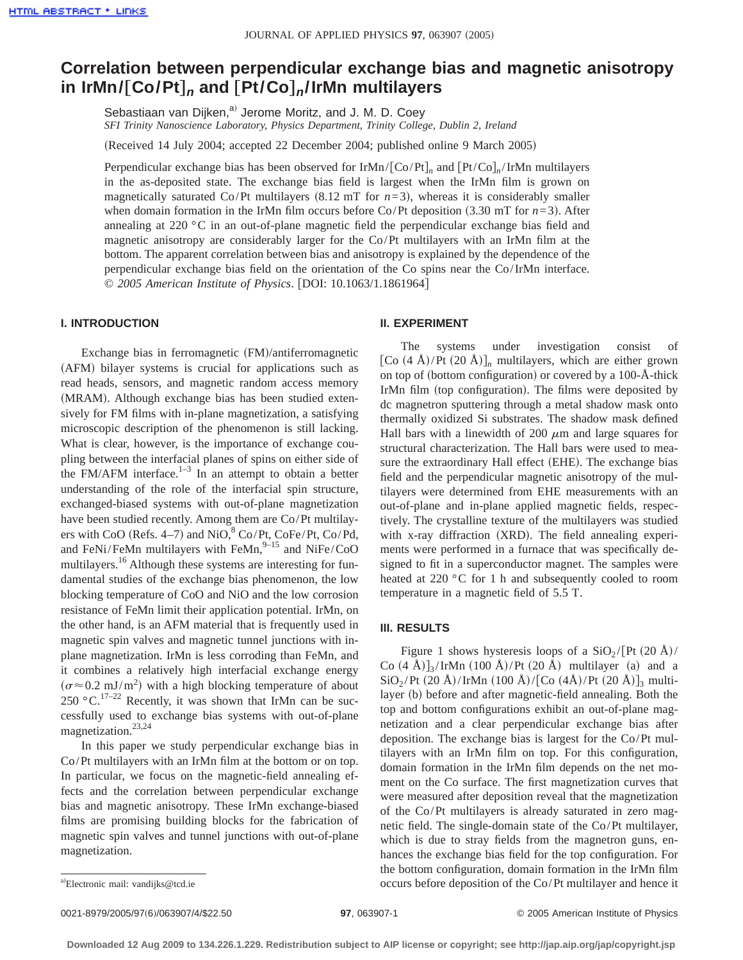# **Correlation between perpendicular exchange bias and magnetic anisotropy in IrMn/**†**Co/Pt**‡**<sup>n</sup> and** †**Pt/Co**‡**n/IrMn multilayers**

Sebastiaan van Dijken,<sup>a)</sup> Jerome Moritz, and J. M. D. Coev

*SFI Trinity Nanoscience Laboratory, Physics Department, Trinity College, Dublin 2, Ireland*

(Received 14 July 2004; accepted 22 December 2004; published online 9 March 2005)

Perpendicular exchange bias has been observed for IrMn/ $[Co/Pt]_n$  and  $[Pt/Co]_n/IFMn$  multilayers in the as-deposited state. The exchange bias field is largest when the IrMn film is grown on magnetically saturated Co/Pt multilayers  $(8.12 \text{ mT}$  for  $n=3)$ , whereas it is considerably smaller when domain formation in the IrMn film occurs before  $Co/Pt$  deposition (3.30 mT for  $n=3$ ). After annealing at 220 °C in an out-of-plane magnetic field the perpendicular exchange bias field and magnetic anisotropy are considerably larger for the Co/Pt multilayers with an IrMn film at the bottom. The apparent correlation between bias and anisotropy is explained by the dependence of the perpendicular exchange bias field on the orientation of the Co spins near the Co/IrMn interface. © 2005 American Institute of Physics. [DOI: 10.1063/1.1861964]

## **I. INTRODUCTION**

Exchange bias in ferromagnetic (FM)/antiferromagnetic (AFM) bilayer systems is crucial for applications such as read heads, sensors, and magnetic random access memory (MRAM). Although exchange bias has been studied extensively for FM films with in-plane magnetization, a satisfying microscopic description of the phenomenon is still lacking. What is clear, however, is the importance of exchange coupling between the interfacial planes of spins on either side of the FM/AFM interface. $1-3$  In an attempt to obtain a better understanding of the role of the interfacial spin structure, exchanged-biased systems with out-of-plane magnetization have been studied recently. Among them are Co/Pt multilayers with CoO (Refs. 4–7) and NiO, $8^{\circ}$  Co/Pt, CoFe/Pt, Co/Pd, and FeNi/FeMn multilayers with FeMn, $9-15$  and NiFe/CoO multilayers.<sup>16</sup> Although these systems are interesting for fundamental studies of the exchange bias phenomenon, the low blocking temperature of CoO and NiO and the low corrosion resistance of FeMn limit their application potential. IrMn, on the other hand, is an AFM material that is frequently used in magnetic spin valves and magnetic tunnel junctions with inplane magnetization. IrMn is less corroding than FeMn, and it combines a relatively high interfacial exchange energy  $(\sigma \approx 0.2 \text{ mJ/m}^2)$  with a high blocking temperature of about 250 °C.<sup>17–22</sup> Recently, it was shown that IrMn can be successfully used to exchange bias systems with out-of-plane magnetization.23,24

In this paper we study perpendicular exchange bias in Co/Pt multilayers with an IrMn film at the bottom or on top. In particular, we focus on the magnetic-field annealing effects and the correlation between perpendicular exchange bias and magnetic anisotropy. These IrMn exchange-biased films are promising building blocks for the fabrication of magnetic spin valves and tunnel junctions with out-of-plane magnetization.

### **II. EXPERIMENT**

The systems under investigation consist of  $[Co (4 Å)/Pt (20 Å)]_n$  multilayers, which are either grown on top of (bottom configuration) or covered by a 100- $\AA$ -thick IrMn film (top configuration). The films were deposited by dc magnetron sputtering through a metal shadow mask onto thermally oxidized Si substrates. The shadow mask defined Hall bars with a linewidth of 200  $\mu$ m and large squares for structural characterization. The Hall bars were used to measure the extraordinary Hall effect (EHE). The exchange bias field and the perpendicular magnetic anisotropy of the multilayers were determined from EHE measurements with an out-of-plane and in-plane applied magnetic fields, respectively. The crystalline texture of the multilayers was studied with x-ray diffraction  $(XRD)$ . The field annealing experiments were performed in a furnace that was specifically designed to fit in a superconductor magnet. The samples were heated at 220 °C for 1 h and subsequently cooled to room temperature in a magnetic field of 5.5 T.

# **III. RESULTS**

Figure 1 shows hysteresis loops of a  $SiO_2/[Pt (20 Å)/$ Co  $(4 \text{ Å})$ <sub>3</sub>/IrMn  $(100 \text{ Å})$ /Pt  $(20 \text{ Å})$  multilayer (a) and a  $SiO_2$ /Pt (20 Å)/IrMn (100 Å)/[Co (4Å)/Pt (20 Å)]<sub>3</sub> multilayer (b) before and after magnetic-field annealing. Both the top and bottom configurations exhibit an out-of-plane magnetization and a clear perpendicular exchange bias after deposition. The exchange bias is largest for the Co/Pt multilayers with an IrMn film on top. For this configuration, domain formation in the IrMn film depends on the net moment on the Co surface. The first magnetization curves that were measured after deposition reveal that the magnetization of the Co/Pt multilayers is already saturated in zero magnetic field. The single-domain state of the Co/Pt multilayer, which is due to stray fields from the magnetron guns, enhances the exchange bias field for the top configuration. For the bottom configuration, domain formation in the IrMn film occurs before deposition of the Co/Pt multilayer and hence it

Electronic mail: vandijks@tcd.ie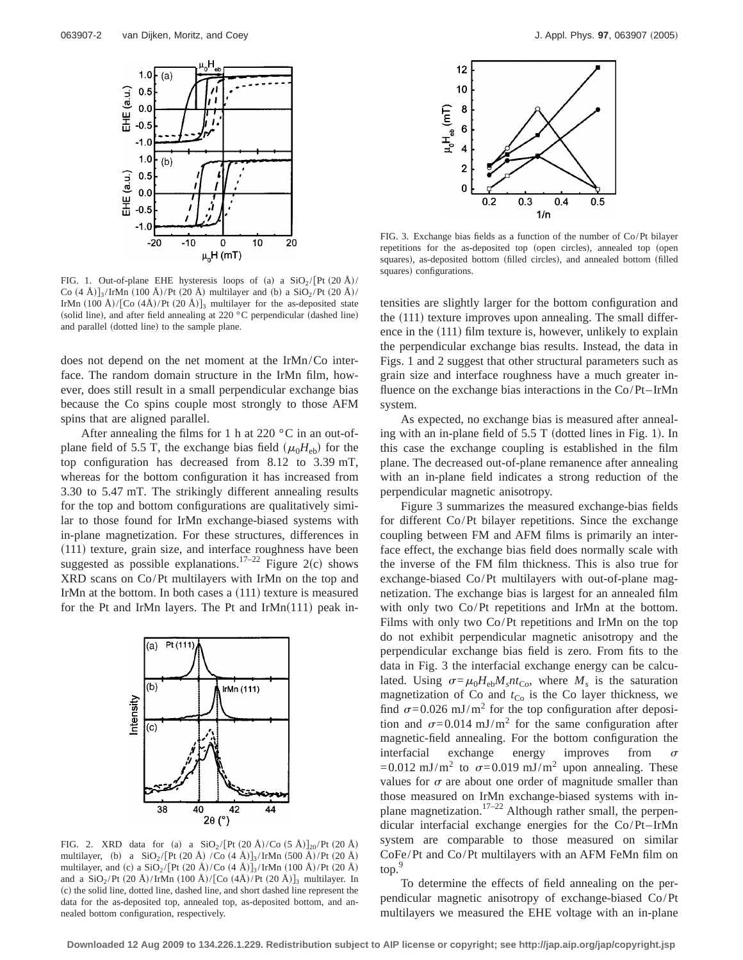

FIG. 1. Out-of-plane EHE hysteresis loops of (a) a  $SiO_2/[Pt (20 Å)/$ Co  $(4 \text{ Å})$ <sub>3</sub>/IrMn  $(100 \text{ Å})$ /Pt  $(20 \text{ Å})$  multilayer and  $(b)$  a SiO<sub>2</sub>/Pt  $(20 \text{ Å})$ / IrMn  $(100 \text{ Å})/[C_{\text{O}} (4\text{Å})/P_{\text{t}} (20 \text{ Å})]_3$  multilayer for the as-deposited state (solid line), and after field annealing at  $220\degree$ C perpendicular (dashed line) and parallel (dotted line) to the sample plane.

does not depend on the net moment at the IrMn/Co interface. The random domain structure in the IrMn film, however, does still result in a small perpendicular exchange bias because the Co spins couple most strongly to those AFM spins that are aligned parallel.

After annealing the films for 1 h at 220  $\,^{\circ}$ C in an out-ofplane field of 5.5 T, the exchange bias field  $(\mu_0H_{\text{eh}})$  for the top configuration has decreased from 8.12 to 3.39 mT, whereas for the bottom configuration it has increased from 3.30 to 5.47 mT. The strikingly different annealing results for the top and bottom configurations are qualitatively similar to those found for IrMn exchange-biased systems with in-plane magnetization. For these structures, differences in  $(111)$  texture, grain size, and interface roughness have been suggested as possible explanations.<sup>17–22</sup> Figure 2(c) shows XRD scans on Co/Pt multilayers with IrMn on the top and IrMn at the bottom. In both cases a  $(111)$  texture is measured for the Pt and IrMn layers. The Pt and IrMn $(111)$  peak in-



FIG. 2. XRD data for (a) a  $\text{SiO}_2 / [\text{Pt (20 Å)/Co (5 Å)}]_{20} / \text{Pt (20 Å)}$ multilayer, (b) a  $\text{SiO}_2 / [\text{Pt (20 Å)} / \text{Co (4 Å)}]_3 / \text{IrMn (500 Å)} / \text{Pt (20 Å)}$ multilayer, and (c) a  $\text{SiO}_2 / [\text{Pt (20 Å)/Co (4 Å)}]_3 / \text{IrMn (100 Å) / Pt (20 Å)}$ and a  $SiO_2/Pt$  (20 Å)/IrMn (100 Å)/[Co (4Å)/Pt (20 Å)]<sub>3</sub> multilayer. In (c) the solid line, dotted line, dashed line, and short dashed line represent the data for the as-deposited top, annealed top, as-deposited bottom, and annealed bottom configuration, respectively.



FIG. 3. Exchange bias fields as a function of the number of Co/Pt bilayer repetitions for the as-deposited top (open circles), annealed top (open squares), as-deposited bottom (filled circles), and annealed bottom (filled squares) configurations.

tensities are slightly larger for the bottom configuration and the  $(111)$  texture improves upon annealing. The small difference in the  $(111)$  film texture is, however, unlikely to explain the perpendicular exchange bias results. Instead, the data in Figs. 1 and 2 suggest that other structural parameters such as grain size and interface roughness have a much greater influence on the exchange bias interactions in the Co/Pt–IrMn system.

As expected, no exchange bias is measured after annealing with an in-plane field of  $5.5$  T (dotted lines in Fig. 1). In this case the exchange coupling is established in the film plane. The decreased out-of-plane remanence after annealing with an in-plane field indicates a strong reduction of the perpendicular magnetic anisotropy.

Figure 3 summarizes the measured exchange-bias fields for different Co/Pt bilayer repetitions. Since the exchange coupling between FM and AFM films is primarily an interface effect, the exchange bias field does normally scale with the inverse of the FM film thickness. This is also true for exchange-biased Co/Pt multilayers with out-of-plane magnetization. The exchange bias is largest for an annealed film with only two Co/Pt repetitions and IrMn at the bottom. Films with only two Co/Pt repetitions and IrMn on the top do not exhibit perpendicular magnetic anisotropy and the perpendicular exchange bias field is zero. From fits to the data in Fig. 3 the interfacial exchange energy can be calculated. Using  $\sigma = \mu_0 H_{\text{eh}} M_s n t_{\text{Co}}$ , where  $M_s$  is the saturation magnetization of Co and  $t_{\text{Co}}$  is the Co layer thickness, we find  $\sigma$ =0.026 mJ/m<sup>2</sup> for the top configuration after deposition and  $\sigma$ =0.014 mJ/m<sup>2</sup> for the same configuration after magnetic-field annealing. For the bottom configuration the interfacial exchange energy improves from  $\sigma$  $=0.012$  mJ/m<sup>2</sup> to  $\sigma=0.019$  mJ/m<sup>2</sup> upon annealing. These values for  $\sigma$  are about one order of magnitude smaller than those measured on IrMn exchange-biased systems with inplane magnetization.<sup>17–22</sup> Although rather small, the perpendicular interfacial exchange energies for the Co/Pt–IrMn system are comparable to those measured on similar CoFe/Pt and Co/Pt multilayers with an AFM FeMn film on top.

To determine the effects of field annealing on the perpendicular magnetic anisotropy of exchange-biased Co/Pt multilayers we measured the EHE voltage with an in-plane

**Downloaded 12 Aug 2009 to 134.226.1.229. Redistribution subject to AIP license or copyright; see http://jap.aip.org/jap/copyright.jsp**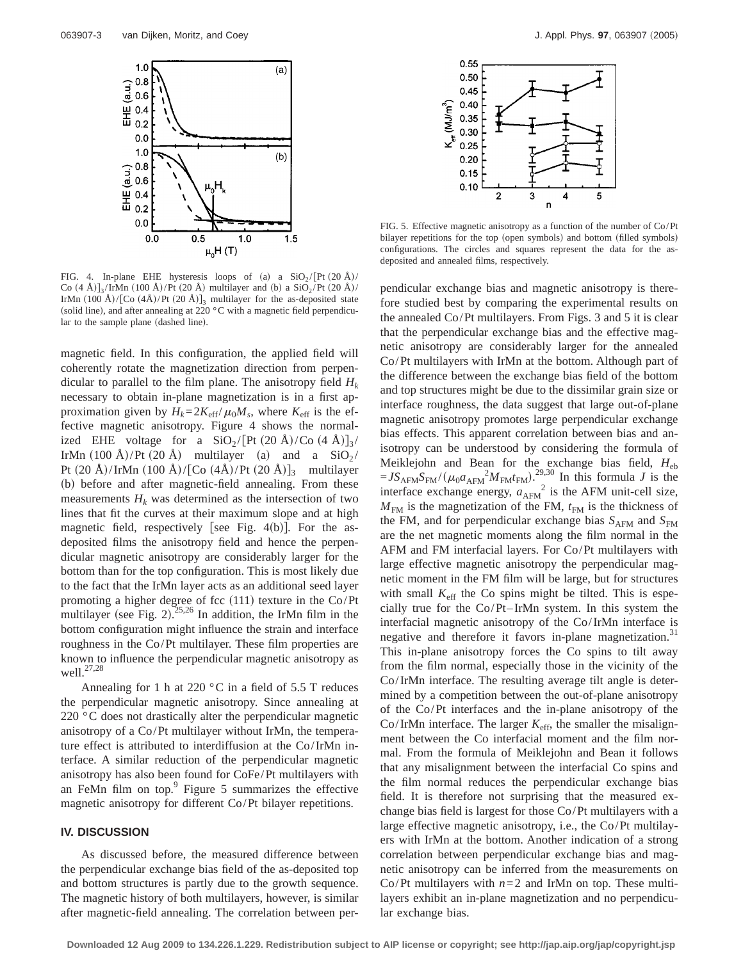

FIG. 4. In-plane EHE hysteresis loops of (a) a  $\text{SiO}_2 / [\text{Pt (20 Å)} /$ Co  $(4 \text{ Å})$ <sub>3</sub>/IrMn  $(100 \text{ Å})$ /Pt  $(20 \text{ Å})$  multilayer and (b) a SiO<sub>2</sub>/Pt  $(20 \text{ Å})$ / IrMn  $(100 \text{ Å})/[C_{\text{O}} (4\text{Å})/P_{\text{t}} (20 \text{ Å})]_3$  multilayer for the as-deposited state (solid line), and after annealing at 220  $^{\circ}$ C with a magnetic field perpendicular to the sample plane (dashed line).

magnetic field. In this configuration, the applied field will coherently rotate the magnetization direction from perpendicular to parallel to the film plane. The anisotropy field  $H_k$ necessary to obtain in-plane magnetization is in a first approximation given by  $H_k = 2K_{\text{eff}}/\mu_0 M_s$ , where  $K_{\text{eff}}$  is the effective magnetic anisotropy. Figure 4 shows the normalized EHE voltage for a  $SiO_2/[Pt (20 \text{ Å})/Co (4 \text{ Å})]_3/$ IrMn  $(100 \text{ Å})/\text{Pt}$  (20 Å) multilayer (a) and a SiO<sub>2</sub>/ Pt  $(20 \text{ Å})/\text{IrMn}$   $(100 \text{ Å})/\text{Co}$   $(4\text{Å})/\text{Pt}$   $(20 \text{ Å})$ <sub>3</sub> multilayer (b) before and after magnetic-field annealing. From these measurements  $H_k$  was determined as the intersection of two lines that fit the curves at their maximum slope and at high magnetic field, respectively [see Fig. 4(b)]. For the asdeposited films the anisotropy field and hence the perpendicular magnetic anisotropy are considerably larger for the bottom than for the top configuration. This is most likely due to the fact that the IrMn layer acts as an additional seed layer promoting a higher degree of fcc  $(111)$  texture in the Co/Pt multilayer (see Fig. 2).<sup>25,26</sup> In addition, the IrMn film in the bottom configuration might influence the strain and interface roughness in the Co/Pt multilayer. These film properties are known to influence the perpendicular magnetic anisotropy as well. $^{27,28}$ 

Annealing for 1 h at 220  $^{\circ}$ C in a field of 5.5 T reduces the perpendicular magnetic anisotropy. Since annealing at 220 °C does not drastically alter the perpendicular magnetic anisotropy of a Co/Pt multilayer without IrMn, the temperature effect is attributed to interdiffusion at the Co/IrMn interface. A similar reduction of the perpendicular magnetic anisotropy has also been found for CoFe/Pt multilayers with an FeMn film on top. $9$  Figure 5 summarizes the effective magnetic anisotropy for different Co/Pt bilayer repetitions.

## **IV. DISCUSSION**

As discussed before, the measured difference between the perpendicular exchange bias field of the as-deposited top and bottom structures is partly due to the growth sequence. The magnetic history of both multilayers, however, is similar after magnetic-field annealing. The correlation between per-



FIG. 5. Effective magnetic anisotropy as a function of the number of Co/Pt bilayer repetitions for the top (open symbols) and bottom (filled symbols) configurations. The circles and squares represent the data for the asdeposited and annealed films, respectively.

pendicular exchange bias and magnetic anisotropy is therefore studied best by comparing the experimental results on the annealed Co/Pt multilayers. From Figs. 3 and 5 it is clear that the perpendicular exchange bias and the effective magnetic anisotropy are considerably larger for the annealed Co/Pt multilayers with IrMn at the bottom. Although part of the difference between the exchange bias field of the bottom and top structures might be due to the dissimilar grain size or interface roughness, the data suggest that large out-of-plane magnetic anisotropy promotes large perpendicular exchange bias effects. This apparent correlation between bias and anisotropy can be understood by considering the formula of Meiklejohn and Bean for the exchange bias field, *H*eb  $=JS_{AFM}S_{FM}/(\mu_0 a_{AFM}^2 M_{FM}t_{FM})$ <sup>29,30</sup> In this formula *J* is the interface exchange energy,  $a_{AFM}^2$  is the AFM unit-cell size,  $M_{\text{FM}}$  is the magnetization of the FM,  $t_{\text{FM}}$  is the thickness of the FM, and for perpendicular exchange bias  $S_{AFM}$  and  $S_{FM}$ are the net magnetic moments along the film normal in the AFM and FM interfacial layers. For Co/Pt multilayers with large effective magnetic anisotropy the perpendicular magnetic moment in the FM film will be large, but for structures with small  $K_{\text{eff}}$  the Co spins might be tilted. This is especially true for the Co/Pt–IrMn system. In this system the interfacial magnetic anisotropy of the Co/IrMn interface is negative and therefore it favors in-plane magnetization.<sup>31</sup> This in-plane anisotropy forces the Co spins to tilt away from the film normal, especially those in the vicinity of the Co/IrMn interface. The resulting average tilt angle is determined by a competition between the out-of-plane anisotropy of the Co/Pt interfaces and the in-plane anisotropy of the Co/IrMn interface. The larger  $K_{\text{eff}}$ , the smaller the misalignment between the Co interfacial moment and the film normal. From the formula of Meiklejohn and Bean it follows that any misalignment between the interfacial Co spins and the film normal reduces the perpendicular exchange bias field. It is therefore not surprising that the measured exchange bias field is largest for those Co/Pt multilayers with a large effective magnetic anisotropy, i.e., the Co/Pt multilayers with IrMn at the bottom. Another indication of a strong correlation between perpendicular exchange bias and magnetic anisotropy can be inferred from the measurements on Co/Pt multilayers with  $n=2$  and IrMn on top. These multilayers exhibit an in-plane magnetization and no perpendicular exchange bias.